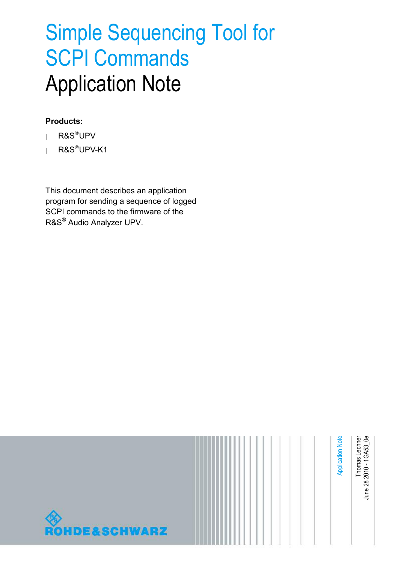# Simple Sequencing Tool for SCPI Commands Application Note

#### **Products:**

- **<sup>|</sup>** R&SUPV
- **<sup>|</sup>** R&SUPV-K1

This document describes an application program for sending a sequence of logged SCPI commands to the firmware of the R&S® Audio Analyzer UPV.

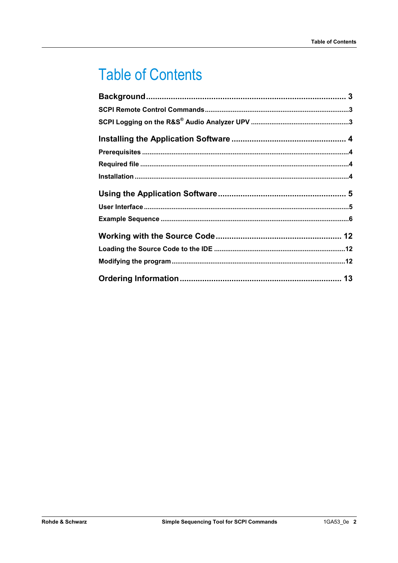## **Table of Contents**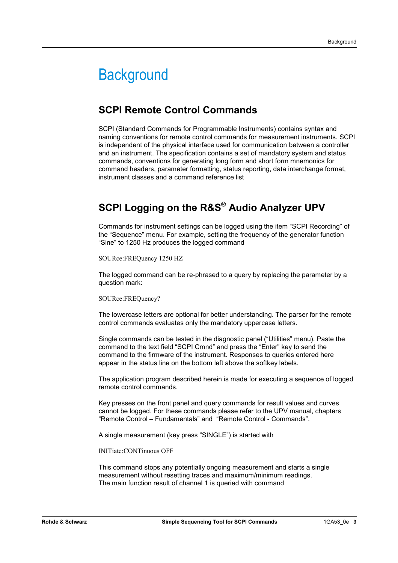## **Background**

### **SCPI Remote Control Commands**

SCPI (Standard Commands for Programmable Instruments) contains syntax and naming conventions for remote control commands for measurement instruments. SCPI is independent of the physical interface used for communication between a controller and an instrument. The specification contains a set of mandatory system and status commands, conventions for generating long form and short form mnemonics for command headers, parameter formatting, status reporting, data interchange format, instrument classes and a command reference list

## **SCPI Logging on the R&S® Audio Analyzer UPV**

Commands for instrument settings can be logged using the item "SCPI Recording" of the "Sequence" menu. For example, setting the frequency of the generator function "Sine" to 1250 Hz produces the logged command

SOURce:FREQuency 1250 HZ

The logged command can be re-phrased to a query by replacing the parameter by a question mark:

SOURce:FREQuency?

The lowercase letters are optional for better understanding. The parser for the remote control commands evaluates only the mandatory uppercase letters.

Single commands can be tested in the diagnostic panel ("Utilities" menu). Paste the command to the text field "SCPI Cmnd" and press the "Enter" key to send the command to the firmware of the instrument. Responses to queries entered here appear in the status line on the bottom left above the softkey labels.

The application program described herein is made for executing a sequence of logged remote control commands.

Key presses on the front panel and query commands for result values and curves cannot be logged. For these commands please refer to the UPV manual, chapters "Remote Control – Fundamentals" and "Remote Control - Commands".

A single measurement (key press "SINGLE") is started with

INITiate:CONTinuous OFF

This command stops any potentially ongoing measurement and starts a single measurement without resetting traces and maximum/minimum readings. The main function result of channel 1 is queried with command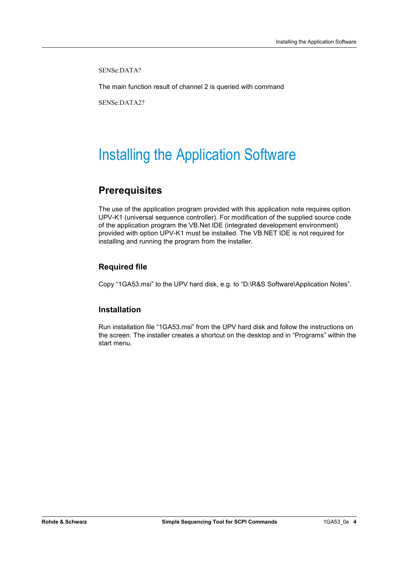SENSe:DATA?

The main function result of channel 2 is queried with command

SENSe:DATA2?

## Installing the Application Software

### **Prerequisites**

The use of the application program provided with this application note requires option UPV-K1 (universal sequence controller). For modification of the supplied source code of the application program the VB.Net IDE (integrated development environment) provided with option UPV-K1 must be installed. The VB.NET IDE is not required for installing and running the program from the installer.

#### **Required file**

Copy "1GA53.msi" to the UPV hard disk, e.g. to "D:\R&S Software\Application Notes".

#### **Installation**

Run installation file "1GA53.msi" from the UPV hard disk and follow the instructions on the screen. The installer creates a shortcut on the desktop and in "Programs" within the start menu.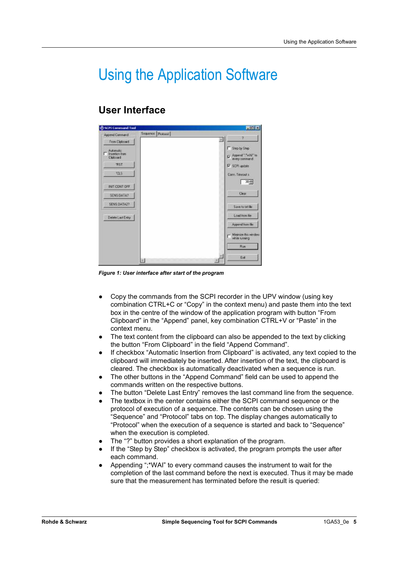## Using the Application Software

### **User Interface**

| <b>CSCPI Command Tool</b>    |                   | EER                                   |
|------------------------------|-------------------|---------------------------------------|
| Append Command               | Sequence Protocol | 72                                    |
| From Clipboard               |                   | ×                                     |
| Automatic                    |                   | Step by Step                          |
| T Insertion from<br>Cloboard |                   | R Append ":"wW" to                    |
| <b>TRST</b>                  |                   | F SCPI updale                         |
| rus                          |                   | Conn. Timeout II                      |
| INIT CONT OFF.               |                   | $30 - 1$                              |
| SENS DATA?                   |                   | Clear                                 |
| SENS DATA2?                  |                   | Save to ad file                       |
| Delete Last Entry            |                   | Load hom Ne                           |
|                              |                   | Appared from file                     |
|                              |                   | Minimize this window<br>while sunning |
|                              |                   | Rün                                   |
|                              | м                 | Exit                                  |

*Figure 1: User interface after start of the program* 

- Copy the commands from the SCPI recorder in the UPV window (using key combination CTRL+C or "Copy" in the context menu) and paste them into the text box in the centre of the window of the application program with button "From Clipboard" in the "Append" panel, key combination CTRL+V or "Paste" in the context menu.
- The text content from the clipboard can also be appended to the text by clicking the button "From Clipboard" in the field "Append Command".
- If checkbox "Automatic Insertion from Clipboard" is activated, any text copied to the clipboard will immediately be inserted. After insertion of the text, the clipboard is cleared. The checkbox is automatically deactivated when a sequence is run.
- The other buttons in the "Append Command" field can be used to append the commands written on the respective buttons.
- The button "Delete Last Entry" removes the last command line from the sequence.
- The textbox in the center contains either the SCPI command sequence or the protocol of execution of a sequence. The contents can be chosen using the "Sequence" and "Protocol" tabs on top. The display changes automatically to "Protocol" when the execution of a sequence is started and back to "Sequence" when the execution is completed.
- The "?" button provides a short explanation of the program.
- If the "Step by Step" checkbox is activated, the program prompts the user after each command.
- Appending ";\*WAI" to every command causes the instrument to wait for the completion of the last command before the next is executed. Thus it may be made sure that the measurement has terminated before the result is queried: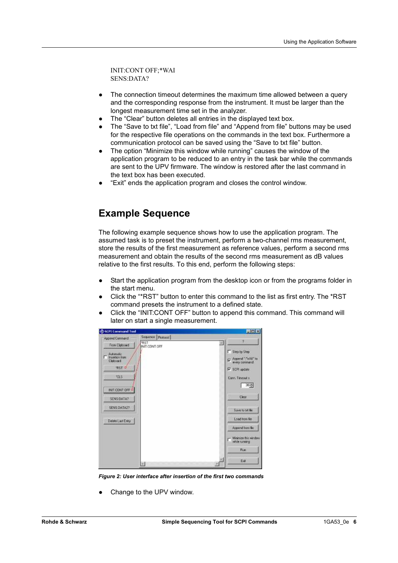INIT:CONT OFF;\*WAI SENS:DATA?

- @ The connection timeout determines the maximum time allowed between a query and the corresponding response from the instrument. It must be larger than the longest measurement time set in the analyzer.
- The "Clear" button deletes all entries in the displayed text box.
- The "Save to txt file", "Load from file" and "Append from file" buttons may be used for the respective file operations on the commands in the text box. Furthermore a communication protocol can be saved using the "Save to txt file" button.
- The option "Minimize this window while running" causes the window of the application program to be reduced to an entry in the task bar while the commands are sent to the UPV firmware. The window is restored after the last command in the text box has been executed.
- "Exit" ends the application program and closes the control window.

### **Example Sequence**

The following example sequence shows how to use the application program. The assumed task is to preset the instrument, perform a two-channel rms measurement, store the results of the first measurement as reference values, perform a second rms measurement and obtain the results of the second rms measurement as dB values relative to the first results. To this end, perform the following steps:

- Start the application program from the desktop icon or from the programs folder in the start menu.
- Click the "\*RST" button to enter this command to the list as first entry. The \*RST command presets the instrument to a defined state.
- Click the "INIT:CONT OFF" button to append this command. This command will later on start a single measurement.



*Figure 2: User interface after insertion of the first two commands* 

Change to the UPV window.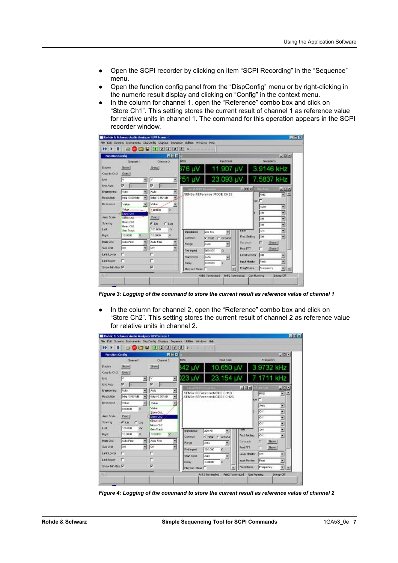- @ Open the SCPI recorder by clicking on item "SCPI Recording" in the "Sequence" menu.
- @ Open the function config panel from the "DispConfig" menu or by right-clicking in the numeric result display and clicking on "Config" in the context menu.
- In the column for channel 1, open the "Reference" combo box and click on "Store Ch1". This setting stores the current result of channel 1 as reference value for relative units in channel 1. The command for this operation appears in the SCPI recorder window.



*Figure 3: Logging of the command to store the current result as reference value of channel 1* 

In the column for channel 2, open the "Reference" combo box and click on "Store Ch2". This setting stores the current result of channel 2 as reference value for relative units in channel 2.

|                              | <b>Function Config</b> | <b>REE</b>                    |                    |                                 |                      |                     | $\Box$                        |
|------------------------------|------------------------|-------------------------------|--------------------|---------------------------------|----------------------|---------------------|-------------------------------|
|                              | Channel 1              | <b>Channel 2</b>              | <b>PIMS</b>        | <b>Inguis Page</b>              |                      | Pressency           |                               |
| Display                      | <b>Show</b>            | Show:                         | 42 UV              | 10.650 µV                       |                      | 3.9732 kHz          |                               |
| Casy to On 2<br><b>U</b> st. | Exec<br>固<br>lv.       | $\overline{\mathbf{z}}$<br>Ιv | 123 U.V            | 23 154 uV                       |                      | 7 1711 kHz          |                               |
| Unit Auto                    | Φ<br>w.                | π<br><b>V</b>                 |                    |                                 |                      |                     |                               |
| Eigneenrig                   | Auto<br>۰              | ž<br>Auto                     | Linux SUPERINUM    | SENSe:REFerence:MODE:CH1S       | $\sqrt{N}$           | Figurity            | $-1018$                       |
| Resolution                   | 5dg / 0.001dE          | Ξ<br>5dg / 0.001 dB           |                    | SENSe:REFerence:MODE2 CH2S      |                      | <b>RMS</b><br>r     | ×<br>$\overline{\phantom{a}}$ |
| Reference                    | Value                  | Value<br>٠                    |                    |                                 |                      | юë                  |                               |
|                              | 0.00000                | Value:                        |                    |                                 |                      | <b>JAMES</b><br>lон | Ξ                             |
| Auto Scale                   | Exec                   | Shore-Chd.<br>Store Ch2       |                    |                                 |                      | <b>Cett</b>         |                               |
| Spacing                      | G Lin<br>$C$ Mag       | Meas Chi                      |                    |                                 |                      | lом                 |                               |
| Lett                         | 100,000<br>n/c         | Mess Ch2<br>Gen Track         |                    |                                 | FINE                 | OH!                 |                               |
| <b>Hunt</b>                  | 10,0000                | M<br>10,0000                  | Impediation        | 200 KG<br>剿                     | Frict Setting        | <b>CH</b>           | ۶                             |
| Main Ond                     | Auto Fine<br>医         | Auto Fine                     | Common             | <b>G. Box C. Glound</b><br>Auto | <b>Bangowin</b>      | Show:               |                               |
| Sue Ond                      | ЮĦ<br>×                | ×<br>Off                      | Honge              | Ξ                               | Post FFT             | Show:               |                               |
| Lind Lower                   |                        | г                             | <b>Firt Incent</b> | 600,000<br>$\Omega$             | Level Months         | loe                 |                               |
| <b>Link Ussex</b>            |                        | г                             | Start Cand         | Auto<br>ж                       | <b>Input Monitor</b> | Peak                | Ξ                             |
|                              |                        |                               | Delaw              | 0.00000                         |                      |                     |                               |

*Figure 4: Logging of the command to store the current result as reference value of channel 2*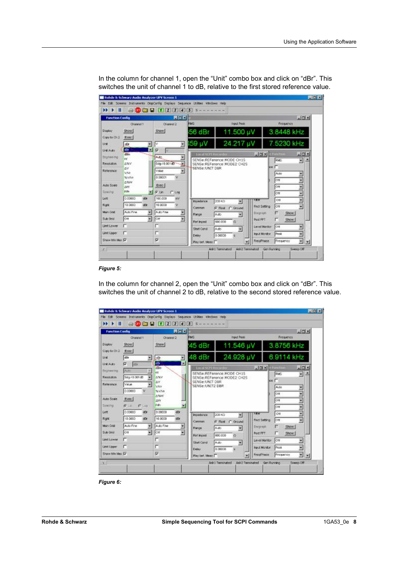| <b>Function Config</b>                                                        |                                                                                                        | $  C  \times  $                                                                                                                           |                                                                            |                                                                                                  |                                                                                         |                                                                                       | $-101 \times$                          |
|-------------------------------------------------------------------------------|--------------------------------------------------------------------------------------------------------|-------------------------------------------------------------------------------------------------------------------------------------------|----------------------------------------------------------------------------|--------------------------------------------------------------------------------------------------|-----------------------------------------------------------------------------------------|---------------------------------------------------------------------------------------|----------------------------------------|
|                                                                               | Channel 1                                                                                              | Channel 2                                                                                                                                 | <b>RMS</b>                                                                 | Input Peak                                                                                       |                                                                                         | Frequency                                                                             |                                        |
| Duplay.<br>Copy to Ch 2                                                       | Show!<br>EIRC                                                                                          | Stare                                                                                                                                     | 56 dBr                                                                     | 11.500 µV                                                                                        |                                                                                         | 3 8448 kHz                                                                            |                                        |
| Unit                                                                          | ۰<br>dBr                                                                                               | ľ۷.<br>회                                                                                                                                  | 159 µV                                                                     | 24.217 µV                                                                                        |                                                                                         | 7 5230 kHz                                                                            |                                        |
| Lind Audor<br>Engineering<br>Resolution<br>Reference<br>Auto Scale<br>Spacing | lσκ<br>٠<br>distant<br>w<br><b>A%W</b><br>ΔV<br><b>USS</b><br>%VIVr<br>69244<br><b>ON</b><br>P.Fr<br>۰ | $\overline{\mathbf{v}}$<br>Đê<br>×<br><b>Auto</b><br>F<br>Solid / 0.001 dBT<br>₩<br><b>Maker</b><br>0.00001<br>Exec  <br>if Un<br>$C$ kpg | Local 513'd Raymonder<br>SENSe: UNIT DBR                                   | SENSe:REFerence:MODE CH1S<br>SENSe:REFerence:MODE2 CH2S                                          | 니다시                                                                                     | <b>Flam tu</b><br><b>RMS</b><br>$\blacksquare$<br>Auto-<br>ott.<br><b>Off</b><br>lott | $-101 \times$<br>因<br>ž<br>ž<br>Ë<br>Ë |
| Lett<br><b>Right</b><br>Main Orld<br>Sub Grid<br>Limit Lower<br>Limit Lipper  | 0.00000<br>dBr.<br>10,0000<br>æ.<br>Auto Fine<br>圛<br>雇<br>Ott                                         | 100,000<br>WV.<br>10,0000<br>v.<br>Auto Fine<br>Ξ<br>×<br>for<br>п                                                                        | Incedence<br>Contron.<br>Range<br><b>Ret Inced</b><br>Start Condi<br>Delaw | 200 KO<br>×<br>C Ground<br><b>G</b> Flout<br>圗<br>Auto:<br>500,000<br>o<br>Auto'<br>۳<br>0.00000 | FROT<br>Frict Selting<br>Borgraph<br>Post FFT<br><b>Lanvel Monitor</b><br>Input Monitor | Off<br><b>Off</b><br>п<br>Show<br>Show!<br>ott<br>Peak                                | g<br>Ŵ<br>۷                            |
| Show Min Max IV                                                               |                                                                                                        | π                                                                                                                                         | Play bet. Meas I                                                           |                                                                                                  | FreuPhase                                                                               | Frequency                                                                             | $\frac{1}{2}$                          |

In the column for channel 1, open the "Unit" combo box and click on "dBr". This switches the unit of channel 1 to dB, relative to the first stored reference value.

#### *Figure 5:*

In the column for channel 2, open the "Unit" combo box and click on "dBr". This switches the unit of channel 2 to dB, relative to the second stored reference value.

| <b>Function Config</b>                   | <b>Holxi</b>                        |                                   |                            |                      |               | $-101 \times$ |
|------------------------------------------|-------------------------------------|-----------------------------------|----------------------------|----------------------|---------------|---------------|
| Channel 1                                | Channel 2                           | <b>RMS</b>                        | <b>Input Peak</b>          |                      | Freisuency    |               |
| Show!<br>Display<br>Copy to Ch 2<br>Erec | <b>Stow</b>                         | 45 dBr                            | 11 546 µV                  |                      | 3.8756 kHz    |               |
| dBr.<br><b>Link</b>                      | 륁<br>Ξ<br>dBr                       | 48 dBr                            | 24.928 µV                  |                      | 6.9114 kHz    |               |
| F<br><b>Lind Auto</b><br>dEr.            | kΘγ<br>в<br>dBrit                   | Local SCPL Recorder               |                            | $\Box \Box$          | <b>Tunrts</b> | $-101 \times$ |
| <b>Engineering</b><br>Auto               | <b>LAP</b>                          |                                   | SENSe:REFarance:MODE CH1S  |                      | <b>RMS</b>    | 돼             |
| Sdg / 0.001dB<br>Resolution              | ٠<br>A%V                            |                                   | SENSe:REFerence:MODE2 CH2S |                      | <b>Scott</b>  |               |
| Reference<br><b>Nature</b>               | <b>AV</b><br><b>VAN</b>             | SENSe:UNIT DBR<br>SENSe:UNIT2 DBR |                            |                      | <b>AUSO</b>   |               |
| 0.00000                                  | SVM                                 |                                   |                            |                      | OIF           | ۰             |
| Arzio Scole<br>Exec                      | A SW                                |                                   |                            |                      |               | ٠             |
| Szachu<br>作用<br><b>C</b> Lug             | 1300<br>PPt<br>н                    |                                   |                            |                      | OĦ            | ٠             |
| 0.00000<br>Lett<br>dBr                   | 0.00000<br>dFir                     |                                   |                            |                      | ÖĦ            | ۰             |
| 10,0000                                  |                                     | incedance.                        | 200 RO<br>更                | र बाद                | Off           | ż             |
| Right<br>ď                               | 10,0000<br>dB                       | Contron:                          | F Float C Ground           | <b>Frict Setting</b> | loft          | ν             |
| Main Orid<br>Auto Fine                   | ×<br>Auto Fine<br>z                 | <b>FORTON</b>                     | 菌<br>Auto                  | <b>Bargraph</b>      | г<br>Show.    |               |
| Sub Ond<br>ÓΠ                            | y<br>$\overline{\mathbf{r}}$<br>lоп | Ret Iniced                        | 600,000<br>$\alpha$        | Post FFT             | n<br>Show!    |               |
| <b>Limit Lower</b>                       | n                                   | Start Cond                        | Auto.                      | Level Monitor        | lott          | 固             |
| <b>Linit Lipper</b><br>г                 | г                                   |                                   | ×<br><b>D</b> DOUGO        | <b>Input Monitor</b> | Peak          | ۳             |
| Show Min Max T                           | σ                                   | Delaw.                            |                            | <b>Frece Texas</b>   | Frequency     | 의회            |

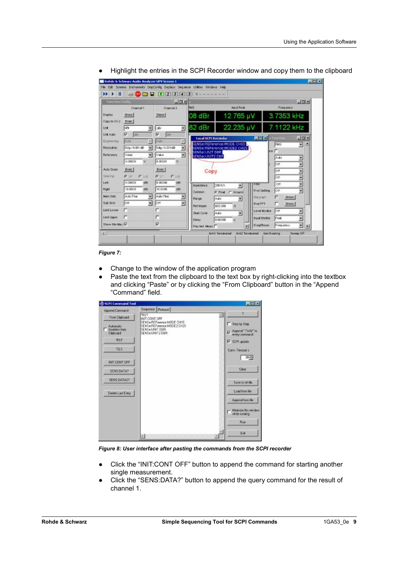| <b>Tunction Config.</b>      |                               | $-101 \times$              |                            |                      |             | $-101 \times$               |
|------------------------------|-------------------------------|----------------------------|----------------------------|----------------------|-------------|-----------------------------|
| Channel 1                    | Chennel 2                     | <b>FINS</b>                | <b>Input Post</b>          |                      | Frequency   |                             |
| Duplay.<br><b>Show</b>       | Show:                         | 08 dBr                     | 12.765 µV                  |                      | 3.7353 kHz  |                             |
| Copy to Ch 2<br>Einc.        |                               |                            |                            |                      |             |                             |
| ldhr<br>Unit                 | dBr                           | 82 dBr<br>Θ                | 22.235 µV                  |                      | 7 1122 kHz  |                             |
| π<br>Unit Auto<br><b>RES</b> | π<br>law                      | <b>Local SCPI Recorder</b> |                            | E E                  | Finction.   | $\Box$                      |
| 3480<br>Engineering          | Auto                          | Ľ                          | SENSe:REFerence:MODE CH1S  |                      | <b>POVS</b> | ۸<br>넹                      |
| 5dig 10.001dB<br>Resolution  | 5dig / 0.001dB                | ¥<br>SENSe:UNIT DBR        | SENSe:REFerence:MODE2 CH2S | cw.                  | г           |                             |
| <b>Reference</b><br>Vaker    | Value                         | ۰<br>SENSe:UNIT2 DBR       |                            |                      | Auto        |                             |
| 0.00000                      | 0.00001                       | $\infty$                   |                            |                      | lorr        |                             |
| Auto Scale<br>E-rec          | Erec:                         | Copy                       |                            |                      | lon<br>٠    |                             |
| Spacing<br>$67 - 117$        | O Lin<br>$C = 00$<br>$C = 00$ |                            |                            |                      | ÷<br>lont.  |                             |
| 0.00000<br>Lintt             | 0.00000<br>dBr                | dBr<br>Inpedance           | 200 KO<br>×                | <b>Filter</b>        | ٠<br>lott   |                             |
| 10,0000<br><b>Right</b>      | 10.0000<br>dffr               | <b>after</b><br>Connon-    | G Final C Ground           | Frid Setting         | lori        |                             |
| Auto Fine<br>Main Grid       | Auto Fine                     | Range                      | Auto.<br>۳                 | the graph.           | <b>Show</b> |                             |
| lΟπ<br>Sub Grid              | on                            | Ë<br>Ret Inped             | 600,000<br>$\Omega$        | Post FFT             | Show.<br>г  |                             |
| Limit Lowrer                 |                               | Start Cond                 | 4.00<br>×                  | Level Monton         | lor         |                             |
| Limit Upper                  | г                             | Detay.                     | 0.00000                    | <b>Input Monitor</b> | Peok        | 门                           |
| Show Min Max TV              | ₽                             | Play but. Mean             |                            | Freq#hase            | Frequency.  | 화<br>$\left  \cdot \right $ |

@ Highlight the entries in the SCPI Recorder window and copy them to the clipboard

*Figure 7:* 

- Change to the window of the application program
- Paste the text from the clipboard to the text box by right-clicking into the textbox and clicking "Paste" or by clicking the "From Clipboard" button in the "Append "Command" field.

| <b>@SCPI Command Tool</b>               | Sequence Protocol                                                                            | EER                                   |
|-----------------------------------------|----------------------------------------------------------------------------------------------|---------------------------------------|
| Append Command<br>From Cipboard         | <b>RST</b><br>INIT CONT OFF                                                                  | $\mathcal{D}$<br>w                    |
| Automatic<br>Insertion from<br>Cloboard | SENSe REFerence MODE CH1S<br>SENSe:REFerence:MODE2.DH2S<br>SENSerUNIT DER<br>SENSe UNIT2 DBR | Step by Step<br>R Append ":"wW" to    |
| <b>TRST</b>                             |                                                                                              | V SEPI updale                         |
| rus                                     |                                                                                              | Conn. Timeout a<br>$30 -$             |
| INIT CONT OFF.                          |                                                                                              |                                       |
| SENS DATA?                              |                                                                                              | <b>Clear</b>                          |
| SENS DATA2?                             |                                                                                              | Save to ad file                       |
| Delete Last Enby                        |                                                                                              | Load Iron Ne                          |
|                                         |                                                                                              | Appared from file                     |
|                                         |                                                                                              | Minimize this window<br>while sunning |
|                                         |                                                                                              | <b>Bün</b>                            |
|                                         | 31                                                                                           | Exit                                  |

*Figure 8: User interface after pasting the commands from the SCPI recorder* 

- Click the "INIT:CONT OFF" button to append the command for starting another single measurement.
- Click the "SENS:DATA?" button to append the query command for the result of channel 1.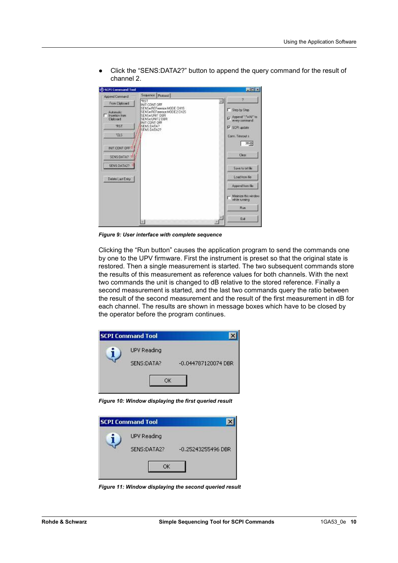@ Click the "SENS:DATA2?" button to append the query command for the result of channel 2.

| <b>CSCPI Command Tool</b>                                            |                                                                                                                                            | LEX                                                                                             |
|----------------------------------------------------------------------|--------------------------------------------------------------------------------------------------------------------------------------------|-------------------------------------------------------------------------------------------------|
| Append Command                                                       | Sequence Protocol                                                                                                                          |                                                                                                 |
| From Cipboard                                                        | <b>RST</b><br>INIT CONT OFF                                                                                                                | 72                                                                                              |
| Automatic<br>Insertion from<br><b>Cloboord</b><br><b>TRST</b><br>ras | SENSe REFerence MODE CH1S<br>SENSe:REFerence:MODE2.DH2S<br>SENSe UNIT DER<br>SENSe UNIT2 DBR<br>INIT CONT OFF<br>SENS:DATA?<br>SENS:DATA2? | Step by Step<br>Append "/"will" to<br>every commend.<br><b>V SCPI updale</b><br>Conn. Timeout a |
| INIT CONT OFF<br>SENS DATA?                                          |                                                                                                                                            | $30 - 4$<br><b>Clear</b>                                                                        |
| SENS DATA2?                                                          |                                                                                                                                            | Save to ad file                                                                                 |
| Delete Last Entry                                                    |                                                                                                                                            | Load Iron Ne                                                                                    |
|                                                                      |                                                                                                                                            | Appared from file                                                                               |
|                                                                      |                                                                                                                                            | <b>Minimize this window</b><br>while sunning                                                    |
|                                                                      |                                                                                                                                            | <b>Bün</b>                                                                                      |
|                                                                      | 31                                                                                                                                         | Exit                                                                                            |

*Figure 9: User interface with complete sequence* 

Clicking the "Run button" causes the application program to send the commands one by one to the UPV firmware. First the instrument is preset so that the original state is restored. Then a single measurement is started. The two subsequent commands store the results of this measurement as reference values for both channels. With the next two commands the unit is changed to dB relative to the stored reference. Finally a second measurement is started, and the last two commands query the ratio between the result of the second measurement and the result of the first measurement in dB for each channel. The results are shown in message boxes which have to be closed by the operator before the program continues.

| <b>SCPI Command Tool</b> |                     |
|--------------------------|---------------------|
| UPV Reading              |                     |
| SENS:DATA?               | -0.044787120074 DBR |
| ОΚ                       |                     |

*Figure 10: Window displaying the first queried result* 

| <b>SCPI Command Tool</b> |                    |
|--------------------------|--------------------|
| UPV Reading              |                    |
| SENS:DATA2?              | -0.25243255496 DBR |
| OК                       |                    |

*Figure 11: Window displaying the second queried result*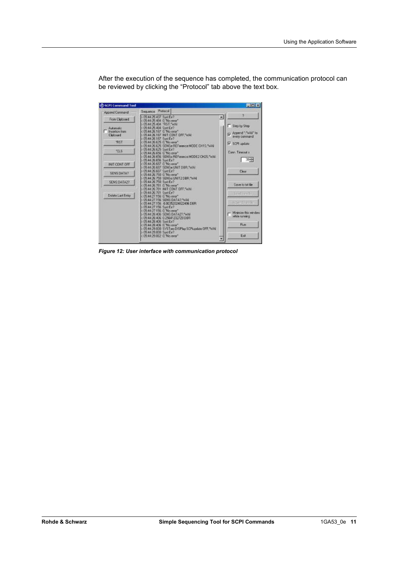SCPI Command Tool LIER kook Append Command Saminova  $\begin{tabular}{c|c|c} \textbf{S} \textbf{eq} \textbf{.} & \textbf{P} \textbf{v} \textbf{t} \textbf{t} \textbf{t} \textbf{t} \textbf{t} \textbf{t} \textbf{t} \textbf{t} \textbf{t} \textbf{t} \textbf{t} \textbf{t} \textbf{t} \textbf{t} \textbf{t} \textbf{t} \textbf{t} \textbf{t} \textbf{t} \textbf{t} \textbf{t} \textbf{t} \textbf{t} \textbf{t} \textbf{t} \textbf{t} \textbf{t} \textbf{t} \textbf{t} \textbf$  $\mathbf{p}_i$ ö 需 From Clipboard H Step by Step  $\begin{tabular}{l} \hline \textbf{A} atomic \\ Inseton, four \\ \textbf{C}kbound \end{tabular}$ M Append ":"WAI" to DFF."WA RST V SCPI update ce:MODE CH15. WAI  $\overline{u}$ Conn. Timeout is WMODE2 CH2S WA  $1.30 + 1.5$ System<br>C: No smo"<br>SENSe UNIT DBR, "WA INIT CONT OFF SENSEUNIT DBR: WAN<br>
SENSEUNIT DBR: WAN<br>
SURE: NSENSEUNIT2DBR: WAN<br>
SURE: NSENSEUNIT2DBR: WAN<br>
SURE: NSENSEUR<br>
SURE: NSENSENSENSENSER<br>
SURE: NSENSENSENSER<br>
SURE: NSENSENSENSER<br>
SURE: NSENSENSERS<br>
SURE: NSENSENSERS<br>
SURE: NS Clear SENS DATA? SENS:DATA2? Save to bit file ad furnite Delete Last Entry **Green** Minimize this winds<br>while running Ráil Exit Ŧ

After the execution of the sequence has completed, the communication protocol can be reviewed by clicking the "Protocol" tab above the text box.

*Figure 12: User interface with communication protocol*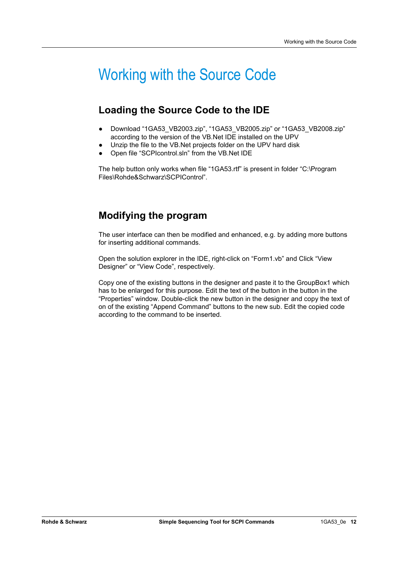## Working with the Source Code

### **Loading the Source Code to the IDE**

- Download "1GA53\_VB2003.zip", "1GA53\_VB2005.zip" or "1GA53\_VB2008.zip" according to the version of the VB.Net IDE installed on the UPV
- Unzip the file to the VB.Net projects folder on the UPV hard disk
- Open file "SCPIcontrol.sln" from the VB.Net IDE

The help button only works when file "1GA53.rtf" is present in folder "C:\Program Files\Rohde&Schwarz\SCPIControl".

### **Modifying the program**

The user interface can then be modified and enhanced, e.g. by adding more buttons for inserting additional commands.

Open the solution explorer in the IDE, right-click on "Form1.vb" and Click "View Designer" or "View Code", respectively.

Copy one of the existing buttons in the designer and paste it to the GroupBox1 which has to be enlarged for this purpose. Edit the text of the button in the button in the "Properties" window. Double-click the new button in the designer and copy the text of on of the existing "Append Command" buttons to the new sub. Edit the copied code according to the command to be inserted.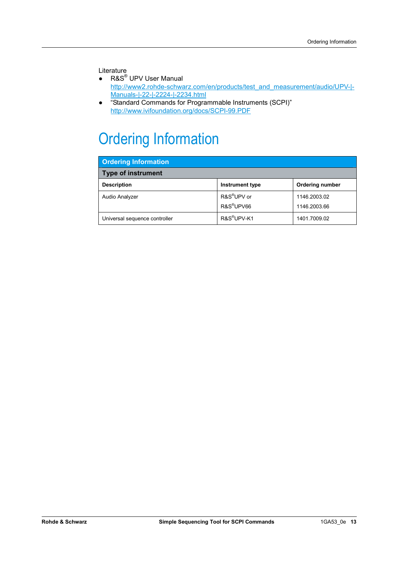#### Literature

- R&S<sup>®</sup> UPV User Manual http://www2.rohde-schwarz.com/en/products/test\_and\_measurement/audio/UPV-|-Manuals-|-22-|-2224-|-2234.html
- @ "Standard Commands for Programmable Instruments (SCPI)" http://www.ivifoundation.org/docs/SCPI-99.PDF

## Ordering Information

| <b>Ordering Information</b>   |                                                   |                              |  |  |  |  |
|-------------------------------|---------------------------------------------------|------------------------------|--|--|--|--|
| <b>Type of instrument</b>     |                                                   |                              |  |  |  |  |
| <b>Description</b>            | <b>Instrument type</b>                            | Ordering number              |  |  |  |  |
| Audio Analyzer                | R&S <sup>®</sup> UPV or<br>R&S <sup>®</sup> UPV66 | 1146.2003.02<br>1146.2003.66 |  |  |  |  |
| Universal sequence controller | R&S <sup>®</sup> UPV-K1                           | 1401.7009.02                 |  |  |  |  |